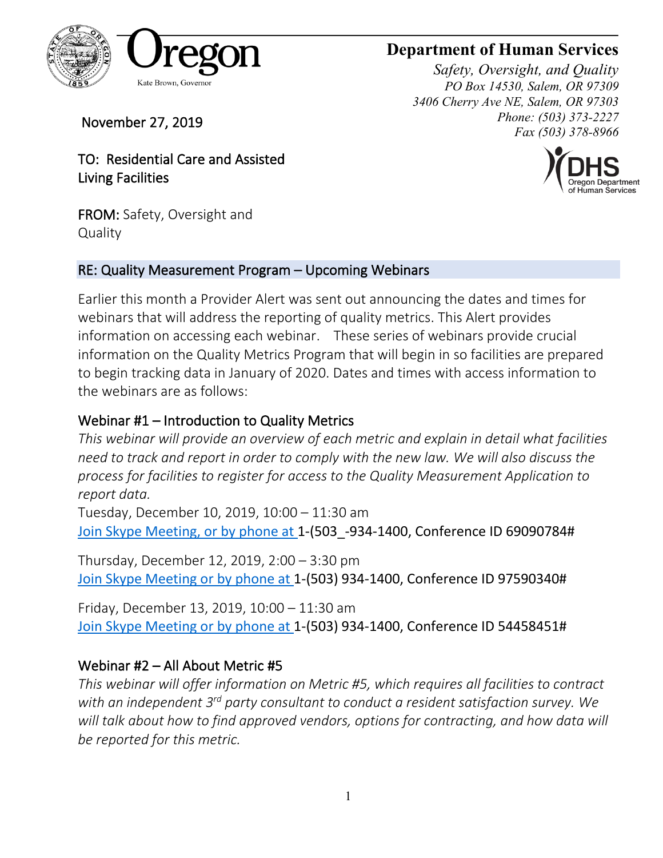

# **Department of Human Services**

*Safety, Oversight, and Quality PO Box 14530, Salem, OR 97309 3406 Cherry Ave NE, Salem, OR 97303 Phone: (503) 373-2227 Fax (503) 378-8966*



November 27, 2019

TO: Residential Care and Assisted Living Facilities

FROM: Safety, Oversight and **Quality** 

### RE: Quality Measurement Program – Upcoming Webinars

Earlier this month a Provider Alert was sent out announcing the dates and times for webinars that will address the reporting of quality metrics. This Alert provides information on accessing each webinar. These series of webinars provide crucial information on the Quality Metrics Program that will begin in so facilities are prepared to begin tracking data in January of 2020. Dates and times with access information to the webinars are as follows:

# Webinar #1 – Introduction to Quality Metrics

*This webinar will provide an overview of each metric and explain in detail what facilities need to track and report in order to comply with the new law. We will also discuss the process for facilities to register for access to the Quality Measurement Application to report data.*

Tuesday, December 10, 2019, 10:00 – 11:30 am [Join Skype Meeting,](https://meet.dhsoha.state.or.us/jan.karlen/48D9PS7T) or by phone at 1-(503 -934-1400, Conference ID 69090784#

Thursday, December 12, 2019, 2:00 – 3:30 pm [Join Skype Meeting](https://meet.dhsoha.state.or.us/jan.karlen/B3H44FDM) or by phone at 1-(503) 934-1400, Conference ID 97590340#

Friday, December 13, 2019, 10:00 – 11:30 am [Join Skype Meeting](https://meet.dhsoha.state.or.us/jan.karlen/6M0MJWGW) or by phone at 1-(503) 934-1400, Conference ID 54458451#

## Webinar #2 – All About Metric #5

*This webinar will offer information on Metric #5, which requires all facilities to contract with an independent 3rd party consultant to conduct a resident satisfaction survey. We will talk about how to find approved vendors, options for contracting, and how data will be reported for this metric.*